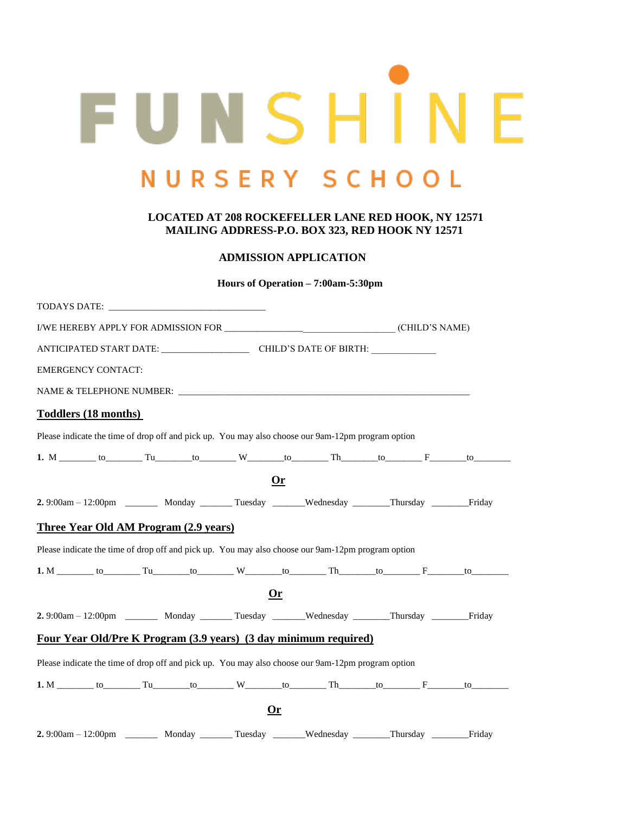# FUNSHINE NURSERY SCHOOL

# **LOCATED AT 208 ROCKEFELLER LANE RED HOOK, NY 12571 MAILING ADDRESS-P.O. BOX 323, RED HOOK NY 12571**

# **ADMISSION APPLICATION**

**Hours of Operation – 7:00am-5:30pm**

|  | TODAYS DATE: New York DATE: New York DATE: New York DATE: New York DATE: New York DATE: New York DATE: New York DATE: New York DATE: New York DATE: New York DATE: New York DATE: New York DATE: New York DATE: New York DATE: |  |  |  |           |                                                                                                                           |  |  |
|--|--------------------------------------------------------------------------------------------------------------------------------------------------------------------------------------------------------------------------------|--|--|--|-----------|---------------------------------------------------------------------------------------------------------------------------|--|--|
|  |                                                                                                                                                                                                                                |  |  |  |           |                                                                                                                           |  |  |
|  |                                                                                                                                                                                                                                |  |  |  |           |                                                                                                                           |  |  |
|  | <b>EMERGENCY CONTACT:</b>                                                                                                                                                                                                      |  |  |  |           |                                                                                                                           |  |  |
|  |                                                                                                                                                                                                                                |  |  |  |           |                                                                                                                           |  |  |
|  | <b>Toddlers (18 months)</b>                                                                                                                                                                                                    |  |  |  |           |                                                                                                                           |  |  |
|  |                                                                                                                                                                                                                                |  |  |  |           | Please indicate the time of drop off and pick up. You may also choose our 9am-12pm program option                         |  |  |
|  |                                                                                                                                                                                                                                |  |  |  |           | 1. M _______ to ________ Tu _______ to ________ W _______ to ________ Th ______ to ________ F ______ to ______            |  |  |
|  |                                                                                                                                                                                                                                |  |  |  | 0r        |                                                                                                                           |  |  |
|  |                                                                                                                                                                                                                                |  |  |  |           | 2.9:00am - 12:00pm ________ Monday _______ Tuesday ______Wednesday _______Thursday ________Friday                         |  |  |
|  | <b>Three Year Old AM Program (2.9 years)</b>                                                                                                                                                                                   |  |  |  |           |                                                                                                                           |  |  |
|  |                                                                                                                                                                                                                                |  |  |  |           | Please indicate the time of drop off and pick up. You may also choose our 9am-12pm program option                         |  |  |
|  |                                                                                                                                                                                                                                |  |  |  |           | 1. M _________ to __________ Tu _______ to _________ W ________ to _________ Th _______ to ________ F _______ to ________ |  |  |
|  |                                                                                                                                                                                                                                |  |  |  | 0r        |                                                                                                                           |  |  |
|  |                                                                                                                                                                                                                                |  |  |  |           | 2.9:00am - 12:00pm ________ Monday ________ Tuesday _______Wednesday _______Thursday ________Friday                       |  |  |
|  |                                                                                                                                                                                                                                |  |  |  |           | Four Year Old/Pre K Program (3.9 years) (3 day minimum required)                                                          |  |  |
|  |                                                                                                                                                                                                                                |  |  |  |           | Please indicate the time of drop off and pick up. You may also choose our 9am-12pm program option                         |  |  |
|  |                                                                                                                                                                                                                                |  |  |  |           |                                                                                                                           |  |  |
|  |                                                                                                                                                                                                                                |  |  |  | <u>Or</u> |                                                                                                                           |  |  |
|  |                                                                                                                                                                                                                                |  |  |  |           |                                                                                                                           |  |  |

**2.** 9:00am – 12:00pm \_\_\_\_\_\_\_ Monday \_\_\_\_\_\_\_ Tuesday \_\_\_\_\_\_\_Wednesday \_\_\_\_\_\_\_\_Thursday \_\_\_\_\_\_\_\_Friday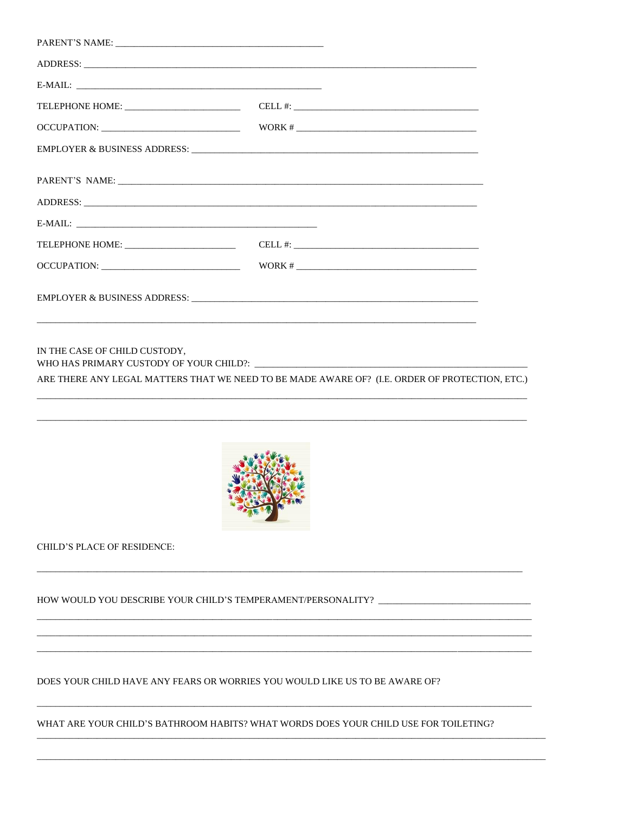| $\text{WORK} \# \_ \hspace{10pt} \_ \hspace{20pt} \_ \hspace{20pt} \_ \hspace{20pt} \_ \hspace{20pt} \_ \hspace{20pt} \_ \hspace{20pt} \_ \hspace{20pt} \_ \hspace{20pt} \_ \hspace{20pt} \_ \hspace{20pt} \_ \hspace{20pt} \_ \hspace{20pt} \_ \hspace{20pt} \_ \hspace{20pt} \_ \hspace{20pt} \_ \hspace{20pt} \_ \hspace{20pt} \_ \hspace{20pt} \_ \hspace{20pt} \_ \hspace{20pt} \$ |
|-----------------------------------------------------------------------------------------------------------------------------------------------------------------------------------------------------------------------------------------------------------------------------------------------------------------------------------------------------------------------------------------|
|                                                                                                                                                                                                                                                                                                                                                                                         |
|                                                                                                                                                                                                                                                                                                                                                                                         |

IN THE CASE OF CHILD CUSTODY, WHO HAS PRIMARY CUSTODY OF YOUR CHILD?:

ARE THERE ANY LEGAL MATTERS THAT WE NEED TO BE MADE AWARE OF? (I.E. ORDER OF PROTECTION, ETC.)



CHILD'S PLACE OF RESIDENCE:

HOW WOULD YOU DESCRIBE YOUR CHILD'S TEMPERAMENT/PERSONALITY?

DOES YOUR CHILD HAVE ANY FEARS OR WORRIES YOU WOULD LIKE US TO BE AWARE OF?

WHAT ARE YOUR CHILD'S BATHROOM HABITS? WHAT WORDS DOES YOUR CHILD USE FOR TOILETING?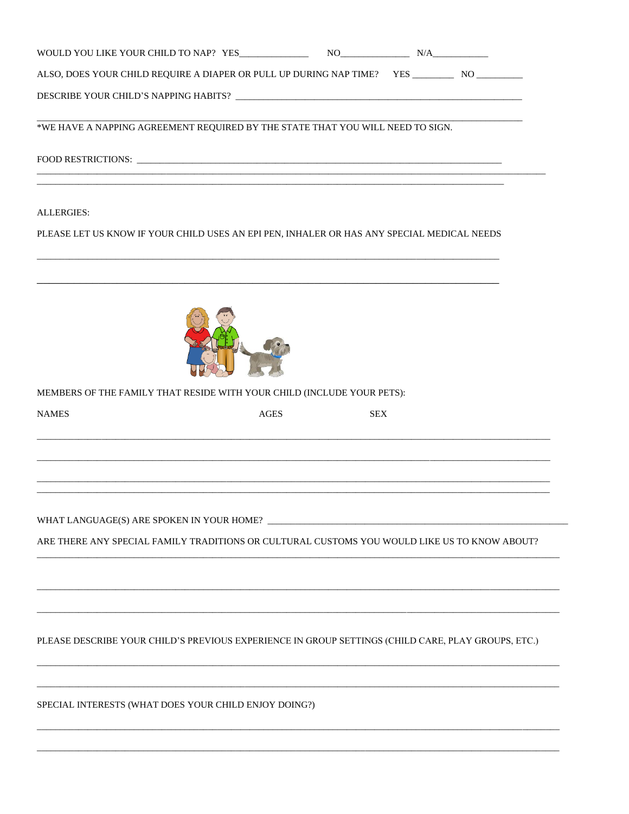| ALSO, DOES YOUR CHILD REQUIRE A DIAPER OR PULL UP DURING NAP TIME? YES ____________ NO __________  |             |            |  |
|----------------------------------------------------------------------------------------------------|-------------|------------|--|
|                                                                                                    |             |            |  |
| *WE HAVE A NAPPING AGREEMENT REQUIRED BY THE STATE THAT YOU WILL NEED TO SIGN.                     |             |            |  |
|                                                                                                    |             |            |  |
| <b>ALLERGIES:</b>                                                                                  |             |            |  |
| PLEASE LET US KNOW IF YOUR CHILD USES AN EPI PEN, INHALER OR HAS ANY SPECIAL MEDICAL NEEDS         |             |            |  |
|                                                                                                    |             |            |  |
| MEMBERS OF THE FAMILY THAT RESIDE WITH YOUR CHILD (INCLUDE YOUR PETS):                             |             |            |  |
| <b>NAMES</b>                                                                                       | <b>AGES</b> | <b>SEX</b> |  |
|                                                                                                    |             |            |  |
|                                                                                                    |             |            |  |
|                                                                                                    |             |            |  |
| ARE THERE ANY SPECIAL FAMILY TRADITIONS OR CULTURAL CUSTOMS YOU WOULD LIKE US TO KNOW ABOUT?       |             |            |  |
|                                                                                                    |             |            |  |
|                                                                                                    |             |            |  |
| PLEASE DESCRIBE YOUR CHILD'S PREVIOUS EXPERIENCE IN GROUP SETTINGS (CHILD CARE, PLAY GROUPS, ETC.) |             |            |  |
|                                                                                                    |             |            |  |
| SPECIAL INTERESTS (WHAT DOES YOUR CHILD ENJOY DOING?)                                              |             |            |  |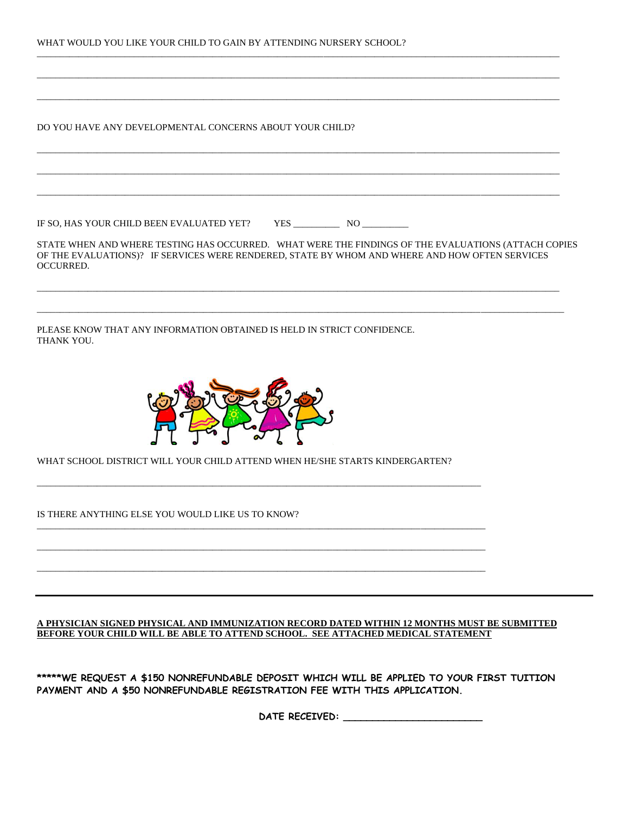|  | WHAT WOULD YOU LIKE YOUR CHILD TO GAIN BY ATTENDING NURSERY SCHOOL? |
|--|---------------------------------------------------------------------|
|--|---------------------------------------------------------------------|

DO YOU HAVE ANY DEVELOPMENTAL CONCERNS ABOUT YOUR CHILD?

IF SO, HAS YOUR CHILD BEEN EVALUATED YET? YES \_\_\_\_\_\_\_\_\_\_\_\_\_\_ NO \_\_\_\_\_\_\_\_\_\_\_\_\_\_\_\_\_

STATE WHEN AND WHERE TESTING HAS OCCURRED. WHAT WERE THE FINDINGS OF THE EVALUATIONS (ATTACH COPIES OF THE EVALUATIONS)? IF SERVICES WERE RENDERED, STATE BY WHOM AND WHERE AND HOW OFTEN SERVICES OCCURRED.

\_\_\_\_\_\_\_\_\_\_\_\_\_\_\_\_\_\_\_\_\_\_\_\_\_\_\_\_\_\_\_\_\_\_\_\_\_\_\_\_\_\_\_\_\_\_\_\_\_\_\_\_\_\_\_\_\_\_\_\_\_\_\_\_\_\_\_\_\_\_\_\_\_\_\_\_\_\_\_\_\_\_\_\_\_\_\_\_\_\_\_\_\_\_\_\_\_\_\_\_\_\_\_\_\_\_\_\_\_\_\_\_\_

\_\_\_\_\_\_\_\_\_\_\_\_\_\_\_\_\_\_\_\_\_\_\_\_\_\_\_\_\_\_\_\_\_\_\_\_\_\_\_\_\_\_\_\_\_\_\_\_\_\_\_\_\_\_\_\_\_\_\_\_\_\_\_\_\_\_\_\_\_\_\_\_\_\_\_\_\_\_\_\_\_\_\_\_\_\_\_\_\_\_\_\_\_\_\_\_\_\_\_\_\_\_\_\_\_\_\_\_\_\_\_\_\_\_

\_\_\_\_\_\_\_\_\_\_\_\_\_\_\_\_\_\_\_\_\_\_\_\_\_\_\_\_\_\_\_\_\_\_\_\_\_\_\_\_\_\_\_\_\_\_\_\_\_\_\_\_\_\_\_\_\_\_\_\_\_\_\_\_\_\_\_\_\_\_\_\_\_\_\_\_\_\_\_\_\_\_\_\_\_\_\_\_\_\_\_\_\_\_\_\_\_\_\_\_\_\_\_\_\_\_\_\_\_\_\_\_\_

\_\_\_\_\_\_\_\_\_\_\_\_\_\_\_\_\_\_\_\_\_\_\_\_\_\_\_\_\_\_\_\_\_\_\_\_\_\_\_\_\_\_\_\_\_\_\_\_\_\_\_\_\_\_\_\_\_\_\_\_\_\_\_\_\_\_\_\_\_\_\_\_\_\_\_\_\_\_\_\_\_\_\_\_\_\_\_\_\_\_\_\_\_\_\_\_\_\_\_\_\_\_\_\_\_\_\_\_\_\_\_\_\_

\_\_\_\_\_\_\_\_\_\_\_\_\_\_\_\_\_\_\_\_\_\_\_\_\_\_\_\_\_\_\_\_\_\_\_\_\_\_\_\_\_\_\_\_\_\_\_\_\_\_\_\_\_\_\_\_\_\_\_\_\_\_\_\_\_\_\_\_\_\_\_\_\_\_\_\_\_\_\_\_\_\_\_\_\_\_\_\_\_\_\_\_\_\_\_\_\_\_\_\_\_\_\_\_\_\_\_\_\_\_\_\_\_

\_\_\_\_\_\_\_\_\_\_\_\_\_\_\_\_\_\_\_\_\_\_\_\_\_\_\_\_\_\_\_\_\_\_\_\_\_\_\_\_\_\_\_\_\_\_\_\_\_\_\_\_\_\_\_\_\_\_\_\_\_\_\_\_\_\_\_\_\_\_\_\_\_\_\_\_\_\_\_\_\_\_\_\_\_\_\_\_\_\_\_\_\_\_\_\_\_\_\_\_\_\_\_\_\_\_\_\_\_\_\_\_\_

\_\_\_\_\_\_\_\_\_\_\_\_\_\_\_\_\_\_\_\_\_\_\_\_\_\_\_\_\_\_\_\_\_\_\_\_\_\_\_\_\_\_\_\_\_\_\_\_\_\_\_\_\_\_\_\_\_\_\_\_\_\_\_\_\_\_\_\_\_\_\_\_\_\_\_\_\_\_\_\_\_\_\_\_\_\_\_\_\_\_\_\_\_\_\_\_\_\_\_\_\_\_\_\_\_\_\_\_\_\_\_\_\_

\_\_\_\_\_\_\_\_\_\_\_\_\_\_\_\_\_\_\_\_\_\_\_\_\_\_\_\_\_\_\_\_\_\_\_\_\_\_\_\_\_\_\_\_\_\_\_\_\_\_\_\_\_\_\_\_\_\_\_\_\_\_\_\_\_\_\_\_\_\_\_\_\_\_\_\_\_\_\_\_\_\_\_\_\_\_\_\_\_\_\_\_\_\_\_\_\_\_\_\_\_\_\_\_\_\_\_\_\_\_\_\_\_

PLEASE KNOW THAT ANY INFORMATION OBTAINED IS HELD IN STRICT CONFIDENCE. THANK YOU.



WHAT SCHOOL DISTRICT WILL YOUR CHILD ATTEND WHEN HE/SHE STARTS KINDERGARTEN?

\_\_\_\_\_\_\_\_\_\_\_\_\_\_\_\_\_\_\_\_\_\_\_\_\_\_\_\_\_\_\_\_\_\_\_\_\_\_\_\_\_\_\_\_\_\_\_\_\_\_\_\_\_\_\_\_\_\_\_\_\_\_\_\_\_\_\_\_\_\_\_\_\_\_\_\_\_\_\_\_\_\_\_\_\_\_\_\_\_\_\_\_\_\_\_\_

 $\overline{a}$  , and the state of the state of the state of the state of the state of the state of the state of the state of the state of the state of the state of the state of the state of the state of the state of the state o

 $\overline{\phantom{a}}$  , and the contribution of the contribution of the contribution of the contribution of the contribution of the contribution of the contribution of the contribution of the contribution of the contribution of the

 $\overline{a}$  , and the state of the state of the state of the state of the state of the state of the state of the state of the state of the state of the state of the state of the state of the state of the state of the state o

IS THERE ANYTHING ELSE YOU WOULD LIKE US TO KNOW?

### **A PHYSICIAN SIGNED PHYSICAL AND IMMUNIZATION RECORD DATED WITHIN 12 MONTHS MUST BE SUBMITTED BEFORE YOUR CHILD WILL BE ABLE TO ATTEND SCHOOL. SEE ATTACHED MEDICAL STATEMENT**

**\*\*\*\*\*WE REQUEST A \$150 NONREFUNDABLE DEPOSIT WHICH WILL BE APPLIED TO YOUR FIRST TUITION PAYMENT AND A \$50 NONREFUNDABLE REGISTRATION FEE WITH THIS APPLICATION.** 

**DATE RECEIVED: \_\_\_\_\_\_\_\_\_\_\_\_\_\_\_\_\_\_\_\_\_\_\_\_**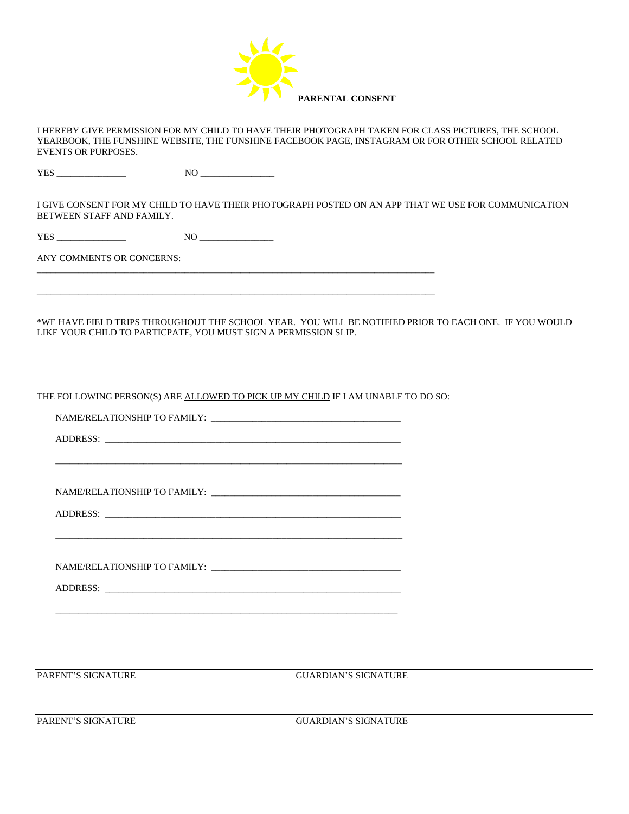

I HEREBY GIVE PERMISSION FOR MY CHILD TO HAVE THEIR PHOTOGRAPH TAKEN FOR CLASS PICTURES, THE SCHOOL YEARBOOK, THE FUNSHINE WEBSITE, THE FUNSHINE FACEBOOK PAGE, INSTAGRAM OR FOR OTHER SCHOOL RELATED EVENTS OR PURPOSES.

YES \_\_\_\_\_\_\_\_\_\_\_\_\_\_\_ NO \_\_\_\_\_\_\_\_\_\_\_\_\_\_\_\_

I GIVE CONSENT FOR MY CHILD TO HAVE THEIR PHOTOGRAPH POSTED ON AN APP THAT WE USE FOR COMMUNICATION BETWEEN STAFF AND FAMILY.

YES \_\_\_\_\_\_\_\_\_\_\_\_\_\_\_ NO \_\_\_\_\_\_\_\_\_\_\_\_\_\_\_\_

ANY COMMENTS OR CONCERNS:

\*WE HAVE FIELD TRIPS THROUGHOUT THE SCHOOL YEAR. YOU WILL BE NOTIFIED PRIOR TO EACH ONE. IF YOU WOULD LIKE YOUR CHILD TO PARTICPATE, YOU MUST SIGN A PERMISSION SLIP.

THE FOLLOWING PERSON(S) ARE ALLOWED TO PICK UP MY CHILD IF I AM UNABLE TO DO SO:

 $\overline{\phantom{a}}$  , and the set of the set of the set of the set of the set of the set of the set of the set of the set of the set of the set of the set of the set of the set of the set of the set of the set of the set of the s

\_\_\_\_\_\_\_\_\_\_\_\_\_\_\_\_\_\_\_\_\_\_\_\_\_\_\_\_\_\_\_\_\_\_\_\_\_\_\_\_\_\_\_\_\_\_\_\_\_\_\_\_\_\_\_\_\_\_\_\_\_\_\_\_\_\_\_\_\_\_\_\_\_\_\_

 $\mathcal{L} = \{ \mathcal{L} = \{ \mathcal{L} = \{ \mathcal{L} = \mathcal{L} \} \mid \mathcal{L} = \{ \mathcal{L} = \{ \mathcal{L} = \mathcal{L} \} \mid \mathcal{L} = \{ \mathcal{L} = \{ \mathcal{L} = \mathcal{L} \} \mid \mathcal{L} = \{ \mathcal{L} = \{ \mathcal{L} = \mathcal{L} = \mathcal{L} = \{ \mathcal{L} = \mathcal{L} = \mathcal{L} \} \mid \mathcal{L} = \{ \mathcal{L} = \{ \mathcal{L} = \mathcal{L} = \mathcal{L} = \{$ 

\_\_\_\_\_\_\_\_\_\_\_\_\_\_\_\_\_\_\_\_\_\_\_\_\_\_\_\_\_\_\_\_\_\_\_\_\_\_\_\_\_\_\_\_\_\_\_\_\_\_\_\_\_\_\_\_\_\_\_\_\_\_\_\_\_\_\_\_\_\_\_\_\_\_\_\_\_\_\_\_\_\_\_\_\_\_

\_\_\_\_\_\_\_\_\_\_\_\_\_\_\_\_\_\_\_\_\_\_\_\_\_\_\_\_\_\_\_\_\_\_\_\_\_\_\_\_\_\_\_\_\_\_\_\_\_\_\_\_\_\_\_\_\_\_\_\_\_\_\_\_\_\_\_\_\_\_\_\_\_\_\_\_\_\_\_\_\_\_\_\_\_\_

NAME/RELATIONSHIP TO FAMILY: \_\_\_\_\_\_\_\_\_\_\_\_\_\_\_\_\_\_\_\_\_\_\_\_\_\_\_\_\_\_\_\_\_\_\_\_\_\_\_\_\_

ADDRESS: \_\_\_\_\_\_\_\_\_\_\_\_\_\_\_\_\_\_\_\_\_\_\_\_\_\_\_\_\_\_\_\_\_\_\_\_\_\_\_\_\_\_\_\_\_\_\_\_\_\_\_\_\_\_\_\_\_\_\_\_\_\_\_\_

NAME/RELATIONSHIP TO FAMILY: \_\_\_\_\_\_\_\_\_\_\_\_\_\_\_\_\_\_\_\_\_\_\_\_\_\_\_\_\_\_\_\_\_\_\_\_\_\_\_\_\_

ADDRESS: \_\_\_\_\_\_\_\_\_\_\_\_\_\_\_\_\_\_\_\_\_\_\_\_\_\_\_\_\_\_\_\_\_\_\_\_\_\_\_\_\_\_\_\_\_\_\_\_\_\_\_\_\_\_\_\_\_\_\_\_\_\_\_\_

NAME/RELATIONSHIP TO FAMILY:

ADDRESS: \_\_\_\_\_\_\_\_\_\_\_\_\_\_\_\_\_\_\_\_\_\_\_\_\_\_\_\_\_\_\_\_\_\_\_\_\_\_\_\_\_\_\_\_\_\_\_\_\_\_\_\_\_\_\_\_\_\_\_\_\_\_\_\_

PARENT'S SIGNATURE GUARDIAN'S SIGNATURE

PARENT'S SIGNATURE GUARDIAN'S SIGNATURE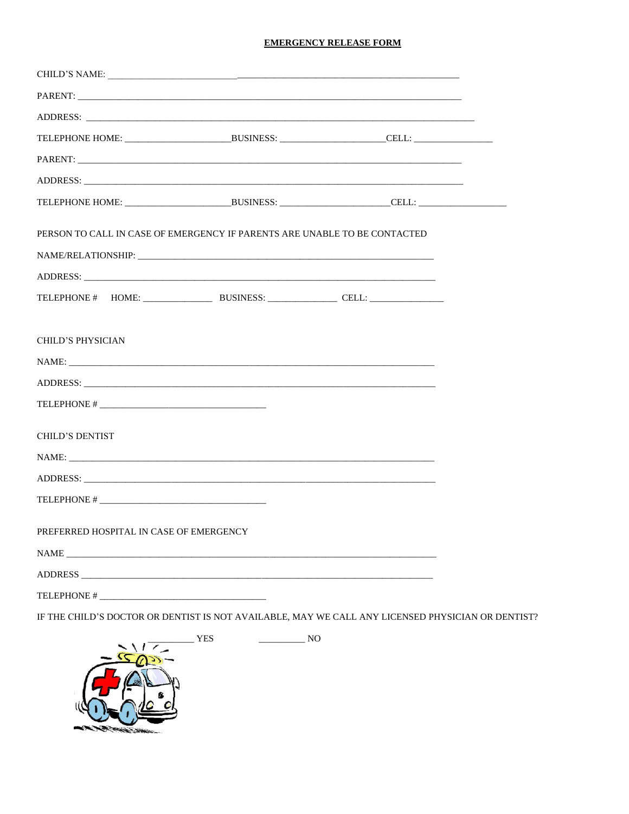# **EMERGENCY RELEASE FORM**

|                          | ADDRESS:                                                                                                                                                                                                                       |  |  |  |
|--------------------------|--------------------------------------------------------------------------------------------------------------------------------------------------------------------------------------------------------------------------------|--|--|--|
|                          |                                                                                                                                                                                                                                |  |  |  |
|                          | PARENT: The contract of the contract of the contract of the contract of the contract of the contract of the contract of the contract of the contract of the contract of the contract of the contract of the contract of the co |  |  |  |
|                          |                                                                                                                                                                                                                                |  |  |  |
|                          |                                                                                                                                                                                                                                |  |  |  |
|                          | PERSON TO CALL IN CASE OF EMERGENCY IF PARENTS ARE UNABLE TO BE CONTACTED                                                                                                                                                      |  |  |  |
|                          |                                                                                                                                                                                                                                |  |  |  |
|                          | ADDRESS:                                                                                                                                                                                                                       |  |  |  |
|                          |                                                                                                                                                                                                                                |  |  |  |
| <b>CHILD'S PHYSICIAN</b> | NAME:                                                                                                                                                                                                                          |  |  |  |
|                          |                                                                                                                                                                                                                                |  |  |  |
|                          |                                                                                                                                                                                                                                |  |  |  |
| <b>CHILD'S DENTIST</b>   |                                                                                                                                                                                                                                |  |  |  |
|                          | NAME:                                                                                                                                                                                                                          |  |  |  |
|                          | ADDRESS: ADDRESS:                                                                                                                                                                                                              |  |  |  |
|                          |                                                                                                                                                                                                                                |  |  |  |
|                          | PREFERRED HOSPITAL IN CASE OF EMERGENCY                                                                                                                                                                                        |  |  |  |
|                          |                                                                                                                                                                                                                                |  |  |  |
|                          |                                                                                                                                                                                                                                |  |  |  |
|                          |                                                                                                                                                                                                                                |  |  |  |

IF THE CHILD'S DOCTOR OR DENTIST IS NOT AVAILABLE, MAY WE CALL ANY LICENSED PHYSICIAN OR DENTIST?